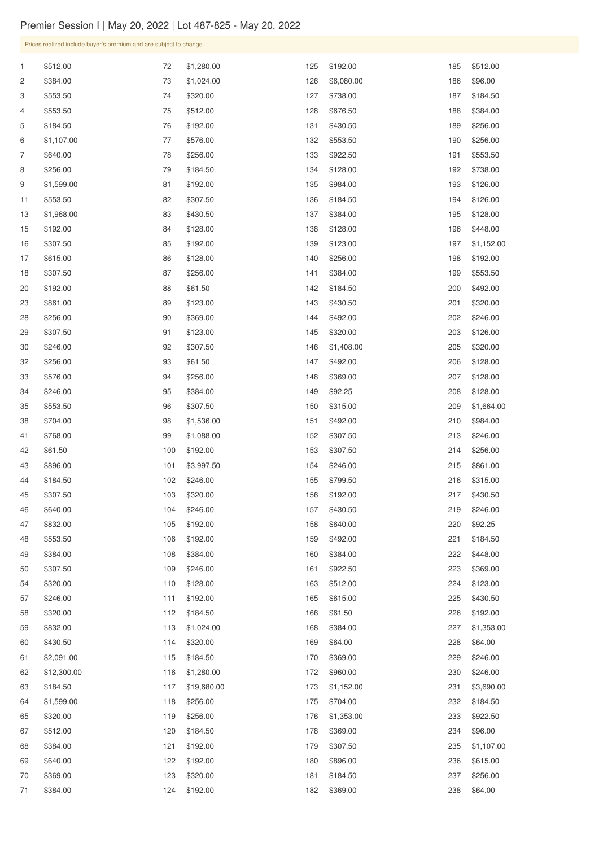| $\mathbf{1}$   | \$512.00    | 72    | \$1,280.00  | 125 | \$192.00   | 185 | \$512.00   |
|----------------|-------------|-------|-------------|-----|------------|-----|------------|
| $\overline{c}$ | \$384.00    | 73    | \$1,024.00  | 126 | \$6,080.00 | 186 | \$96.00    |
| 3              | \$553.50    | 74    | \$320.00    | 127 | \$738.00   | 187 | \$184.50   |
| 4              | \$553.50    | 75    | \$512.00    | 128 | \$676.50   | 188 | \$384.00   |
| 5              | \$184.50    | 76    | \$192.00    | 131 | \$430.50   | 189 | \$256.00   |
| 6              | \$1,107.00  | 77    | \$576.00    | 132 | \$553.50   | 190 | \$256.00   |
| 7              | \$640.00    | 78    | \$256.00    | 133 | \$922.50   | 191 | \$553.50   |
| 8              | \$256.00    | 79    | \$184.50    | 134 | \$128.00   | 192 | \$738.00   |
| 9              | \$1,599.00  | 81    | \$192.00    | 135 | \$984.00   | 193 | \$126.00   |
| 11             | \$553.50    | 82    | \$307.50    | 136 | \$184.50   | 194 | \$126.00   |
| 13             | \$1,968.00  | 83    | \$430.50    | 137 | \$384.00   | 195 | \$128.00   |
| 15             | \$192.00    | 84    | \$128.00    | 138 | \$128.00   | 196 | \$448.00   |
| 16             | \$307.50    | 85    | \$192.00    | 139 | \$123.00   | 197 | \$1,152.00 |
| 17             | \$615.00    | 86    | \$128.00    | 140 | \$256.00   | 198 | \$192.00   |
| 18             | \$307.50    | 87    | \$256.00    | 141 | \$384.00   | 199 | \$553.50   |
| 20             | \$192.00    | 88    | \$61.50     | 142 | \$184.50   | 200 | \$492.00   |
| 23             | \$861.00    | 89    | \$123.00    | 143 | \$430.50   | 201 | \$320.00   |
| 28             | \$256.00    | 90    | \$369.00    | 144 | \$492.00   | 202 | \$246.00   |
| 29             | \$307.50    | 91    | \$123.00    | 145 | \$320.00   | 203 | \$126.00   |
| 30             | \$246.00    | 92    | \$307.50    | 146 | \$1,408.00 | 205 | \$320.00   |
| 32             | \$256.00    | 93    | \$61.50     | 147 | \$492.00   | 206 | \$128.00   |
| 33             | \$576.00    | 94    | \$256.00    | 148 | \$369.00   | 207 | \$128.00   |
| 34             | \$246.00    | 95    | \$384.00    | 149 | \$92.25    | 208 | \$128.00   |
| 35             | \$553.50    | 96    | \$307.50    | 150 | \$315.00   | 209 | \$1,664.00 |
| 38             | \$704.00    | 98    | \$1,536.00  | 151 | \$492.00   | 210 | \$984.00   |
| 41             | \$768.00    | 99    | \$1,088.00  | 152 | \$307.50   | 213 | \$246.00   |
| 42             | \$61.50     | 100   | \$192.00    | 153 | \$307.50   | 214 | \$256.00   |
| 43             | \$896.00    | 101   | \$3,997.50  | 154 | \$246.00   | 215 | \$861.00   |
| 44             | \$184.50    | 102   | \$246.00    | 155 | \$799.50   | 216 | \$315.00   |
| 45             | \$307.50    | 103   | \$320.00    | 156 | \$192.00   | 217 | \$430.50   |
| 46             | \$640.00    | 104   | \$246.00    | 157 | \$430.50   | 219 | \$246.00   |
| 47             | \$832.00    | 105   | \$192.00    | 158 | \$640.00   | 220 | \$92.25    |
| 48             | \$553.50    | 106   | \$192.00    | 159 | \$492.00   | 221 | \$184.50   |
| 49             | \$384.00    | 108   | \$384.00    | 160 | \$384.00   | 222 | \$448.00   |
| 50             | \$307.50    | 109   | \$246.00    | 161 | \$922.50   | 223 | \$369.00   |
| 54             | \$320.00    | 110   | \$128.00    | 163 | \$512.00   | 224 | \$123.00   |
| 57             | \$246.00    | $111$ | \$192.00    | 165 | \$615.00   | 225 | \$430.50   |
| 58             | \$320.00    | 112   | \$184.50    | 166 | \$61.50    | 226 | \$192.00   |
| 59             | \$832.00    | 113   | \$1,024.00  | 168 | \$384.00   | 227 | \$1,353.00 |
| 60             | \$430.50    | 114   | \$320.00    | 169 | \$64.00    | 228 | \$64.00    |
| 61             | \$2,091.00  | 115   | \$184.50    | 170 | \$369.00   | 229 | \$246.00   |
| 62             | \$12,300.00 | 116   | \$1,280.00  | 172 | \$960.00   | 230 | \$246.00   |
| 63             | \$184.50    | 117   | \$19,680.00 | 173 | \$1,152.00 | 231 | \$3,690.00 |
| 64             | \$1,599.00  | 118   | \$256.00    | 175 | \$704.00   | 232 | \$184.50   |
| 65             | \$320.00    | 119   | \$256.00    | 176 | \$1,353.00 | 233 | \$922.50   |
| 67             | \$512.00    | 120   | \$184.50    | 178 | \$369.00   | 234 | \$96.00    |
| 68             | \$384.00    | 121   | \$192.00    | 179 | \$307.50   | 235 | \$1,107.00 |
| 69             | \$640.00    | 122   | \$192.00    | 180 | \$896.00   | 236 | \$615.00   |
| 70             | \$369.00    | 123   | \$320.00    | 181 | \$184.50   | 237 | \$256.00   |
| 71             | \$384.00    | 124   | \$192.00    | 182 | \$369.00   | 238 | \$64.00    |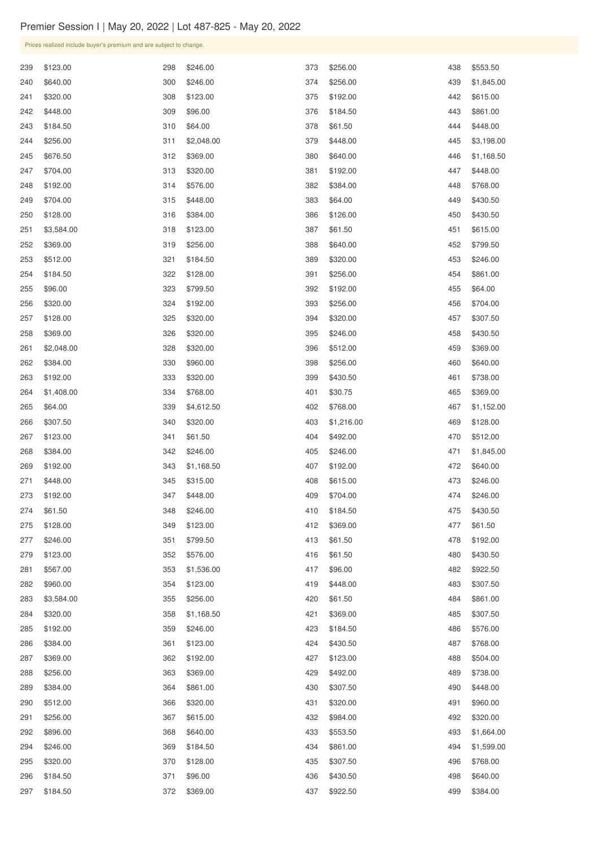| 239 | \$123.00   | 298 | \$246.00   | 373 | \$256.00   | 438 | \$553.50   |
|-----|------------|-----|------------|-----|------------|-----|------------|
| 240 | \$640.00   | 300 | \$246.00   | 374 | \$256.00   | 439 | \$1,845.00 |
| 241 | \$320.00   | 308 | \$123.00   | 375 | \$192.00   | 442 | \$615.00   |
| 242 | \$448.00   | 309 | \$96.00    | 376 | \$184.50   | 443 | \$861.00   |
| 243 | \$184.50   | 310 | \$64.00    | 378 | \$61.50    | 444 | \$448.00   |
| 244 | \$256.00   | 311 | \$2,048.00 | 379 | \$448.00   | 445 | \$3,198.00 |
| 245 | \$676.50   | 312 | \$369.00   | 380 | \$640.00   | 446 | \$1,168.50 |
| 247 | \$704.00   | 313 | \$320.00   | 381 | \$192.00   | 447 | \$448.00   |
| 248 | \$192.00   | 314 | \$576.00   | 382 | \$384.00   | 448 | \$768.00   |
| 249 | \$704.00   | 315 | \$448.00   | 383 | \$64.00    | 449 | \$430.50   |
| 250 | \$128.00   | 316 | \$384.00   | 386 | \$126.00   | 450 | \$430.50   |
| 251 | \$3,584.00 | 318 | \$123.00   | 387 | \$61.50    | 451 | \$615.00   |
| 252 | \$369.00   | 319 | \$256.00   | 388 | \$640.00   | 452 | \$799.50   |
| 253 | \$512.00   | 321 | \$184.50   | 389 | \$320.00   | 453 | \$246.00   |
| 254 | \$184.50   | 322 | \$128.00   | 391 | \$256.00   | 454 | \$861.00   |
| 255 | \$96.00    | 323 | \$799.50   | 392 | \$192.00   | 455 | \$64.00    |
| 256 | \$320.00   | 324 | \$192.00   | 393 | \$256.00   | 456 | \$704.00   |
| 257 | \$128.00   | 325 | \$320.00   | 394 | \$320.00   | 457 | \$307.50   |
| 258 | \$369.00   | 326 | \$320.00   | 395 | \$246.00   | 458 | \$430.50   |
| 261 | \$2,048.00 | 328 | \$320.00   | 396 | \$512.00   | 459 | \$369.00   |
| 262 | \$384.00   | 330 | \$960.00   | 398 | \$256.00   | 460 | \$640.00   |
| 263 | \$192.00   | 333 | \$320.00   | 399 | \$430.50   | 461 | \$738.00   |
| 264 | \$1,408.00 | 334 | \$768.00   | 401 | \$30.75    | 465 | \$369.00   |
| 265 | \$64.00    | 339 | \$4,612.50 | 402 | \$768.00   | 467 | \$1,152.00 |
| 266 | \$307.50   | 340 | \$320.00   | 403 | \$1,216.00 | 469 | \$128.00   |
| 267 | \$123.00   | 341 | \$61.50    | 404 | \$492.00   | 470 | \$512.00   |
| 268 | \$384.00   | 342 | \$246.00   | 405 | \$246.00   | 471 | \$1,845.00 |
| 269 | \$192.00   | 343 | \$1,168.50 | 407 | \$192.00   | 472 | \$640.00   |
| 271 | \$448.00   | 345 | \$315.00   | 408 | \$615.00   | 473 | \$246.00   |
| 273 | \$192.00   | 347 | \$448.00   | 409 | \$704.00   | 474 | \$246.00   |
| 274 | \$61.50    | 348 | \$246.00   | 410 | \$184.50   | 475 | \$430.50   |
| 275 | \$128.00   | 349 | \$123.00   | 412 | \$369.00   | 477 | \$61.50    |
| 277 | \$246.00   | 351 | \$799.50   | 413 | \$61.50    | 478 | \$192.00   |
| 279 | \$123.00   | 352 | \$576.00   | 416 | \$61.50    | 480 | \$430.50   |
| 281 | \$567.00   | 353 | \$1,536.00 | 417 | \$96.00    | 482 | \$922.50   |
| 282 | \$960.00   | 354 | \$123.00   | 419 | \$448.00   | 483 | \$307.50   |
| 283 | \$3,584.00 | 355 | \$256.00   | 420 | \$61.50    | 484 | \$861.00   |
| 284 | \$320.00   | 358 | \$1,168.50 | 421 | \$369.00   | 485 | \$307.50   |
| 285 | \$192.00   | 359 | \$246.00   | 423 | \$184.50   | 486 | \$576.00   |
| 286 | \$384.00   | 361 | \$123.00   | 424 | \$430.50   | 487 | \$768.00   |
| 287 | \$369.00   | 362 | \$192.00   | 427 | \$123.00   | 488 | \$504.00   |
| 288 | \$256.00   | 363 | \$369.00   | 429 | \$492.00   | 489 | \$738.00   |
| 289 | \$384.00   | 364 | \$861.00   | 430 | \$307.50   | 490 | \$448.00   |
| 290 | \$512.00   | 366 | \$320.00   | 431 | \$320.00   | 491 | \$960.00   |
| 291 | \$256.00   | 367 | \$615.00   | 432 | \$984.00   | 492 | \$320.00   |
| 292 | \$896.00   | 368 | \$640.00   | 433 | \$553.50   | 493 | \$1,664.00 |
| 294 | \$246.00   | 369 | \$184.50   | 434 | \$861.00   | 494 | \$1,599.00 |
| 295 | \$320.00   | 370 | \$128.00   | 435 | \$307.50   | 496 | \$768.00   |
| 296 | \$184.50   | 371 | \$96.00    | 436 | \$430.50   | 498 | \$640.00   |
| 297 | \$184.50   | 372 | \$369.00   | 437 | \$922.50   | 499 | \$384.00   |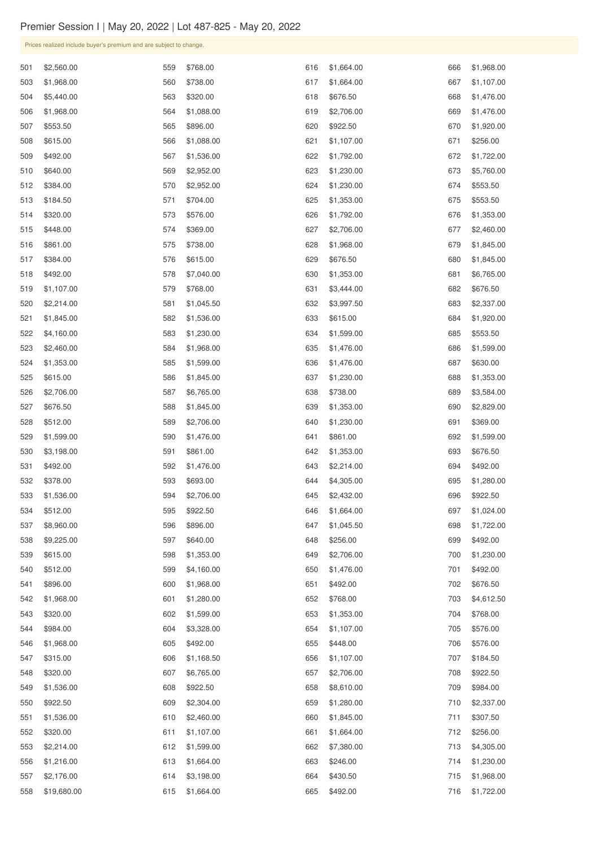| 501 | \$2,560.00  | 559 | \$768.00   | 616 | \$1,664.00 | 666 | \$1,968.00 |
|-----|-------------|-----|------------|-----|------------|-----|------------|
| 503 | \$1,968.00  | 560 | \$738.00   | 617 | \$1,664.00 | 667 | \$1,107.00 |
| 504 | \$5,440.00  | 563 | \$320.00   | 618 | \$676.50   | 668 | \$1,476.00 |
| 506 | \$1,968.00  | 564 | \$1,088.00 | 619 | \$2,706.00 | 669 | \$1,476.00 |
| 507 | \$553.50    | 565 | \$896.00   | 620 | \$922.50   | 670 | \$1,920.00 |
| 508 | \$615.00    | 566 | \$1,088.00 | 621 | \$1,107.00 | 671 | \$256.00   |
| 509 | \$492.00    | 567 | \$1,536.00 | 622 | \$1,792.00 | 672 | \$1,722.00 |
| 510 | \$640.00    | 569 | \$2,952.00 | 623 | \$1,230.00 | 673 | \$5,760.00 |
| 512 | \$384.00    | 570 | \$2,952.00 | 624 | \$1,230.00 | 674 | \$553.50   |
| 513 | \$184.50    | 571 | \$704.00   | 625 | \$1,353.00 | 675 | \$553.50   |
| 514 | \$320.00    | 573 | \$576.00   | 626 | \$1,792.00 | 676 | \$1,353.00 |
| 515 | \$448.00    | 574 | \$369.00   | 627 | \$2,706.00 | 677 | \$2,460.00 |
| 516 | \$861.00    | 575 | \$738.00   | 628 | \$1,968.00 | 679 | \$1,845.00 |
| 517 | \$384.00    | 576 | \$615.00   | 629 | \$676.50   | 680 | \$1,845.00 |
| 518 | \$492.00    | 578 | \$7,040.00 | 630 | \$1,353.00 | 681 | \$6,765.00 |
| 519 | \$1,107.00  | 579 | \$768.00   | 631 | \$3,444.00 | 682 | \$676.50   |
| 520 | \$2,214.00  | 581 | \$1,045.50 | 632 | \$3,997.50 | 683 | \$2,337.00 |
| 521 | \$1,845.00  | 582 | \$1,536.00 | 633 | \$615.00   | 684 | \$1,920.00 |
| 522 | \$4,160.00  | 583 | \$1,230.00 | 634 | \$1,599.00 | 685 | \$553.50   |
| 523 | \$2,460.00  | 584 | \$1,968.00 | 635 | \$1,476.00 | 686 | \$1,599.00 |
| 524 | \$1,353.00  | 585 | \$1,599.00 | 636 | \$1,476.00 | 687 | \$630.00   |
| 525 | \$615.00    | 586 | \$1,845.00 | 637 | \$1,230.00 | 688 | \$1,353.00 |
| 526 | \$2,706.00  | 587 | \$6,765.00 | 638 | \$738.00   | 689 | \$3,584.00 |
| 527 | \$676.50    | 588 | \$1,845.00 | 639 | \$1,353.00 | 690 | \$2,829.00 |
| 528 | \$512.00    | 589 | \$2,706.00 | 640 | \$1,230.00 | 691 | \$369.00   |
| 529 | \$1,599.00  | 590 | \$1,476.00 | 641 | \$861.00   | 692 | \$1,599.00 |
| 530 | \$3,198.00  | 591 | \$861.00   | 642 | \$1,353.00 | 693 | \$676.50   |
| 531 | \$492.00    | 592 | \$1,476.00 | 643 | \$2,214.00 | 694 | \$492.00   |
| 532 | \$378.00    | 593 | \$693.00   | 644 | \$4,305.00 | 695 | \$1,280.00 |
| 533 |             | 594 |            |     |            | 696 |            |
|     | \$1,536.00  |     | \$2,706.00 | 645 | \$2,432.00 |     | \$922.50   |
| 534 | \$512.00    | 595 | \$922.50   | 646 | \$1,664.00 | 697 | \$1,024.00 |
| 537 | \$8,960.00  | 596 | \$896.00   | 647 | \$1,045.50 | 698 | \$1,722.00 |
| 538 | \$9,225.00  | 597 | \$640.00   | 648 | \$256.00   | 699 | \$492.00   |
| 539 | \$615.00    | 598 | \$1,353.00 | 649 | \$2,706.00 | 700 | \$1,230.00 |
| 540 | \$512.00    | 599 | \$4,160.00 | 650 | \$1,476.00 | 701 | \$492.00   |
| 541 | \$896.00    | 600 | \$1,968.00 | 651 | \$492.00   | 702 | \$676.50   |
| 542 | \$1,968.00  | 601 | \$1,280.00 | 652 | \$768.00   | 703 | \$4,612.50 |
| 543 | \$320.00    | 602 | \$1,599.00 | 653 | \$1,353.00 | 704 | \$768.00   |
| 544 | \$984.00    | 604 | \$3,328.00 | 654 | \$1,107.00 | 705 | \$576.00   |
| 546 | \$1,968.00  | 605 | \$492.00   | 655 | \$448.00   | 706 | \$576.00   |
| 547 | \$315.00    | 606 | \$1,168.50 | 656 | \$1,107.00 | 707 | \$184.50   |
| 548 | \$320.00    | 607 | \$6,765.00 | 657 | \$2,706.00 | 708 | \$922.50   |
| 549 | \$1,536.00  | 608 | \$922.50   | 658 | \$8,610.00 | 709 | \$984.00   |
| 550 | \$922.50    | 609 | \$2,304.00 | 659 | \$1,280.00 | 710 | \$2,337.00 |
| 551 | \$1,536.00  | 610 | \$2,460.00 | 660 | \$1,845.00 | 711 | \$307.50   |
| 552 | \$320.00    | 611 | \$1,107.00 | 661 | \$1,664.00 | 712 | \$256.00   |
| 553 | \$2,214.00  | 612 | \$1,599.00 | 662 | \$7,380.00 | 713 | \$4,305.00 |
| 556 | \$1,216.00  | 613 | \$1,664.00 | 663 | \$246.00   | 714 | \$1,230.00 |
| 557 | \$2,176.00  | 614 | \$3,198.00 | 664 | \$430.50   | 715 | \$1,968.00 |
| 558 | \$19,680.00 | 615 | \$1,664.00 | 665 | \$492.00   | 716 | \$1,722.00 |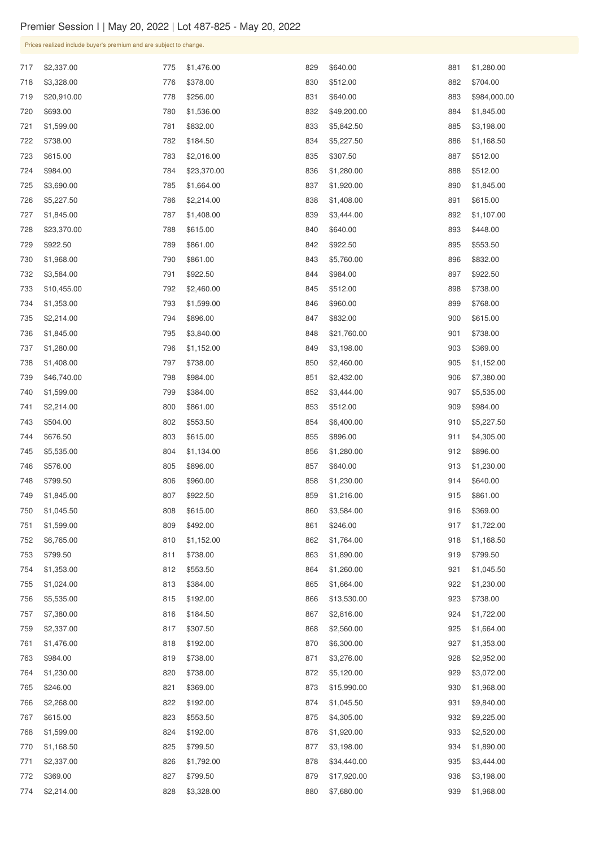| 717 | \$2,337.00  | 775 | \$1,476.00  | 829 | \$640.00    | 881 | \$1,280.00   |
|-----|-------------|-----|-------------|-----|-------------|-----|--------------|
| 718 | \$3,328.00  | 776 | \$378.00    | 830 | \$512.00    | 882 | \$704.00     |
| 719 | \$20,910.00 | 778 | \$256.00    | 831 | \$640.00    | 883 | \$984,000.00 |
| 720 | \$693.00    | 780 | \$1,536.00  | 832 | \$49,200.00 | 884 | \$1,845.00   |
| 721 | \$1,599.00  | 781 | \$832.00    | 833 | \$5,842.50  | 885 | \$3,198.00   |
| 722 | \$738.00    | 782 | \$184.50    | 834 | \$5,227.50  | 886 | \$1,168.50   |
| 723 | \$615.00    | 783 | \$2,016.00  | 835 | \$307.50    | 887 | \$512.00     |
| 724 | \$984.00    | 784 | \$23,370.00 | 836 | \$1,280.00  | 888 | \$512.00     |
| 725 | \$3,690.00  | 785 | \$1,664.00  | 837 | \$1,920.00  | 890 | \$1,845.00   |
| 726 | \$5,227.50  | 786 | \$2,214.00  | 838 | \$1,408.00  | 891 | \$615.00     |
| 727 | \$1,845.00  | 787 | \$1,408.00  | 839 | \$3,444.00  | 892 | \$1,107.00   |
| 728 | \$23,370.00 | 788 | \$615.00    | 840 | \$640.00    | 893 | \$448.00     |
| 729 | \$922.50    | 789 | \$861.00    | 842 | \$922.50    | 895 | \$553.50     |
| 730 | \$1,968.00  | 790 | \$861.00    | 843 | \$5,760.00  | 896 | \$832.00     |
| 732 | \$3,584.00  | 791 | \$922.50    | 844 | \$984.00    | 897 | \$922.50     |
| 733 | \$10,455.00 | 792 | \$2,460.00  | 845 | \$512.00    | 898 | \$738.00     |
| 734 | \$1,353.00  | 793 | \$1,599.00  | 846 | \$960.00    | 899 | \$768.00     |
| 735 | \$2,214.00  | 794 | \$896.00    | 847 | \$832.00    | 900 | \$615.00     |
| 736 | \$1,845.00  | 795 | \$3,840.00  | 848 | \$21,760.00 | 901 | \$738.00     |
| 737 | \$1,280.00  | 796 | \$1,152.00  | 849 | \$3,198.00  | 903 | \$369.00     |
| 738 | \$1,408.00  | 797 | \$738.00    | 850 | \$2,460.00  | 905 | \$1,152.00   |
| 739 | \$46,740.00 | 798 | \$984.00    | 851 | \$2,432.00  | 906 | \$7,380.00   |
| 740 | \$1,599.00  | 799 | \$384.00    | 852 | \$3,444.00  | 907 | \$5,535.00   |
| 741 | \$2,214.00  | 800 | \$861.00    | 853 | \$512.00    | 909 | \$984.00     |
| 743 | \$504.00    | 802 | \$553.50    | 854 | \$6,400.00  | 910 | \$5,227.50   |
| 744 | \$676.50    | 803 | \$615.00    | 855 | \$896.00    | 911 | \$4,305.00   |
| 745 | \$5,535.00  | 804 | \$1,134.00  | 856 | \$1,280.00  | 912 | \$896.00     |
| 746 | \$576.00    | 805 | \$896.00    | 857 | \$640.00    | 913 | \$1,230.00   |
| 748 | \$799.50    | 806 | \$960.00    | 858 | \$1,230.00  | 914 | \$640.00     |
| 749 | \$1,845.00  | 807 | \$922.50    | 859 | \$1,216.00  | 915 | \$861.00     |
| 750 | \$1,045.50  | 808 | \$615.00    | 860 | \$3,584.00  | 916 | \$369.00     |
| 751 | \$1,599.00  | 809 | \$492.00    | 861 | \$246.00    | 917 | \$1,722.00   |
| 752 | \$6,765.00  | 810 | \$1,152.00  | 862 | \$1,764.00  | 918 | \$1,168.50   |
| 753 | \$799.50    | 811 | \$738.00    | 863 | \$1,890.00  | 919 | \$799.50     |
| 754 | \$1,353.00  | 812 | \$553.50    | 864 | \$1,260.00  | 921 | \$1,045.50   |
| 755 | \$1,024.00  | 813 | \$384.00    | 865 | \$1,664.00  | 922 | \$1,230.00   |
| 756 | \$5,535.00  | 815 | \$192.00    | 866 | \$13,530.00 | 923 | \$738.00     |
| 757 | \$7,380.00  | 816 | \$184.50    | 867 | \$2,816.00  | 924 | \$1,722.00   |
| 759 | \$2,337.00  | 817 | \$307.50    | 868 | \$2,560.00  | 925 | \$1,664.00   |
| 761 | \$1,476.00  | 818 | \$192.00    | 870 | \$6,300.00  | 927 | \$1,353.00   |
| 763 | \$984.00    | 819 | \$738.00    | 871 | \$3,276.00  | 928 | \$2,952.00   |
| 764 | \$1,230.00  | 820 | \$738.00    | 872 | \$5,120.00  | 929 | \$3,072.00   |
| 765 | \$246.00    | 821 | \$369.00    | 873 | \$15,990.00 | 930 | \$1,968.00   |
| 766 | \$2,268.00  | 822 | \$192.00    | 874 | \$1,045.50  | 931 | \$9,840.00   |
| 767 | \$615.00    | 823 | \$553.50    | 875 | \$4,305.00  | 932 | \$9,225.00   |
| 768 | \$1,599.00  | 824 | \$192.00    | 876 | \$1,920.00  | 933 | \$2,520.00   |
| 770 | \$1,168.50  | 825 | \$799.50    | 877 | \$3,198.00  | 934 | \$1,890.00   |
| 771 | \$2,337.00  | 826 | \$1,792.00  | 878 | \$34,440.00 | 935 | \$3,444.00   |
| 772 | \$369.00    | 827 | \$799.50    | 879 | \$17,920.00 | 936 | \$3,198.00   |
| 774 | \$2,214.00  | 828 | \$3,328.00  | 880 | \$7,680.00  | 939 | \$1,968.00   |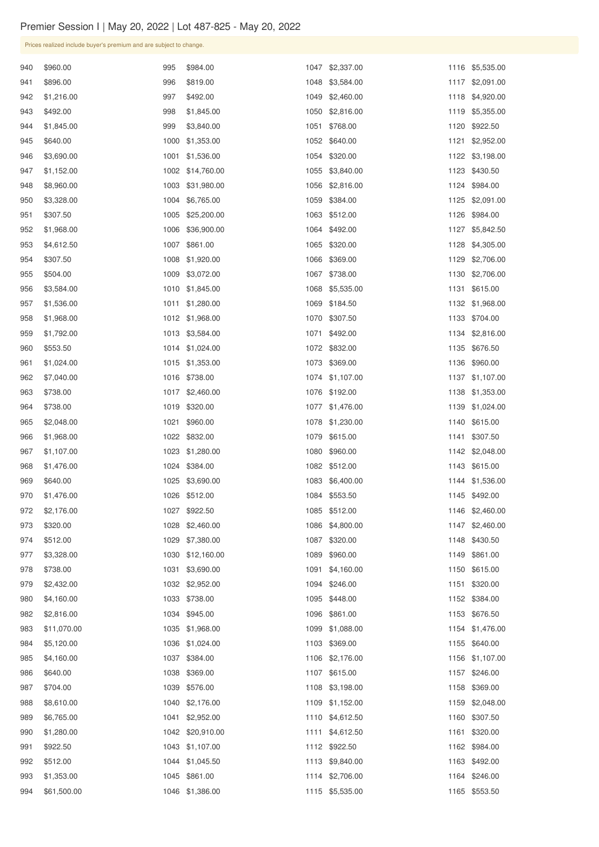| 940 | \$960.00    | 995  | \$984.00         | 1047 | \$2,337.00      | 1116 | \$5,535.00      |
|-----|-------------|------|------------------|------|-----------------|------|-----------------|
| 941 | \$896.00    | 996  | \$819.00         | 1048 | \$3,584.00      | 1117 | \$2,091.00      |
| 942 | \$1,216.00  | 997  | \$492.00         | 1049 | \$2,460.00      | 1118 | \$4,920.00      |
| 943 | \$492.00    | 998  | \$1,845.00       | 1050 | \$2,816.00      | 1119 | \$5,355.00      |
| 944 | \$1,845.00  | 999  | \$3,840.00       | 1051 | \$768.00        | 1120 | \$922.50        |
| 945 | \$640.00    | 1000 | \$1,353.00       | 1052 | \$640.00        | 1121 | \$2,952.00      |
| 946 | \$3,690.00  | 1001 | \$1,536.00       | 1054 | \$320.00        | 1122 | \$3,198.00      |
| 947 | \$1,152.00  | 1002 | \$14,760.00      | 1055 | \$3,840.00      | 1123 | \$430.50        |
| 948 | \$8,960.00  | 1003 | \$31,980.00      | 1056 | \$2,816.00      | 1124 | \$984.00        |
| 950 | \$3,328.00  | 1004 | \$6,765.00       | 1059 | \$384.00        | 1125 | \$2,091.00      |
| 951 | \$307.50    | 1005 | \$25,200.00      | 1063 | \$512.00        | 1126 | \$984.00        |
| 952 | \$1,968.00  | 1006 | \$36,900.00      | 1064 | \$492.00        | 1127 | \$5,842.50      |
| 953 | \$4,612.50  | 1007 | \$861.00         | 1065 | \$320.00        | 1128 | \$4,305.00      |
| 954 | \$307.50    | 1008 | \$1,920.00       | 1066 | \$369.00        | 1129 | \$2,706.00      |
| 955 | \$504.00    | 1009 | \$3,072.00       | 1067 | \$738.00        | 1130 | \$2,706.00      |
| 956 | \$3,584.00  | 1010 | \$1,845.00       | 1068 | \$5,535.00      | 1131 | \$615.00        |
| 957 | \$1,536.00  | 1011 | \$1,280.00       | 1069 | \$184.50        | 1132 | \$1,968.00      |
| 958 | \$1,968.00  | 1012 | \$1,968.00       | 1070 | \$307.50        | 1133 | \$704.00        |
| 959 | \$1,792.00  | 1013 | \$3,584.00       | 1071 | \$492.00        | 1134 | \$2,816.00      |
| 960 | \$553.50    | 1014 | \$1,024.00       | 1072 | \$832.00        | 1135 | \$676.50        |
| 961 | \$1,024.00  | 1015 | \$1,353.00       |      | 1073 \$369.00   | 1136 | \$960.00        |
| 962 | \$7,040.00  |      | 1016 \$738.00    |      | 1074 \$1,107.00 |      | 1137 \$1,107.00 |
| 963 | \$738.00    |      | 1017 \$2,460.00  |      | 1076 \$192.00   |      | 1138 \$1,353.00 |
| 964 | \$738.00    |      | 1019 \$320.00    | 1077 | \$1,476.00      |      | 1139 \$1,024.00 |
| 965 | \$2,048.00  |      | 1021 \$960.00    | 1078 | \$1,230.00      |      | 1140 \$615.00   |
| 966 | \$1,968.00  |      | 1022 \$832.00    | 1079 | \$615.00        | 1141 | \$307.50        |
| 967 | \$1,107.00  | 1023 | \$1,280.00       |      | 1080 \$960.00   |      | 1142 \$2,048.00 |
| 968 | \$1,476.00  |      | 1024 \$384.00    |      | 1082 \$512.00   | 1143 | \$615.00        |
| 969 | \$640.00    | 1025 | \$3,690.00       | 1083 | \$6,400.00      | 1144 | \$1,536.00      |
| 970 | \$1,476.00  | 1026 | \$512.00         | 1084 | \$553.50        | 1145 | \$492.00        |
| 972 | \$2,176.00  | 1027 | \$922.50         | 1085 | \$512.00        | 1146 | \$2,460.00      |
| 973 | \$320.00    | 1028 | \$2,460.00       | 1086 | \$4,800.00      | 1147 | \$2,460.00      |
| 974 | \$512.00    | 1029 | \$7,380.00       | 1087 | \$320.00        | 1148 | \$430.50        |
| 977 | \$3,328.00  | 1030 | \$12,160.00      | 1089 | \$960.00        | 1149 | \$861.00        |
| 978 | \$738.00    | 1031 | \$3,690.00       | 1091 | \$4,160.00      | 1150 | \$615.00        |
| 979 | \$2,432.00  |      | 1032 \$2,952.00  | 1094 | \$246.00        | 1151 | \$320.00        |
| 980 | \$4,160.00  |      | 1033 \$738.00    |      | 1095 \$448.00   |      | 1152 \$384.00   |
| 982 | \$2,816.00  |      | 1034 \$945.00    |      | 1096 \$861.00   |      | 1153 \$676.50   |
| 983 | \$11,070.00 |      | 1035 \$1,968.00  | 1099 | \$1,088.00      | 1154 | \$1,476.00      |
| 984 | \$5,120.00  |      | 1036 \$1,024.00  | 1103 | \$369.00        | 1155 | \$640.00        |
| 985 | \$4,160.00  |      | 1037 \$384.00    | 1106 | \$2,176.00      | 1156 | \$1,107.00      |
| 986 | \$640.00    | 1038 | \$369.00         |      | 1107 \$615.00   | 1157 | \$246.00        |
| 987 | \$704.00    |      | 1039 \$576.00    |      | 1108 \$3,198.00 |      | 1158 \$369.00   |
| 988 | \$8,610.00  |      | 1040 \$2,176.00  |      | 1109 \$1,152.00 | 1159 | \$2,048.00      |
| 989 | \$6,765.00  | 1041 | \$2,952.00       |      | 1110 \$4,612.50 | 1160 | \$307.50        |
| 990 | \$1,280.00  |      | 1042 \$20,910.00 | 1111 | \$4,612.50      | 1161 | \$320.00        |
| 991 | \$922.50    | 1043 | \$1,107.00       |      | 1112 \$922.50   | 1162 | \$984.00        |
| 992 | \$512.00    |      | 1044 \$1,045.50  | 1113 | \$9,840.00      | 1163 | \$492.00        |
| 993 | \$1,353.00  |      | 1045 \$861.00    |      | 1114 \$2,706.00 |      | 1164 \$246.00   |
| 994 | \$61,500.00 |      | 1046 \$1,386.00  |      | 1115 \$5,535.00 | 1165 | \$553.50        |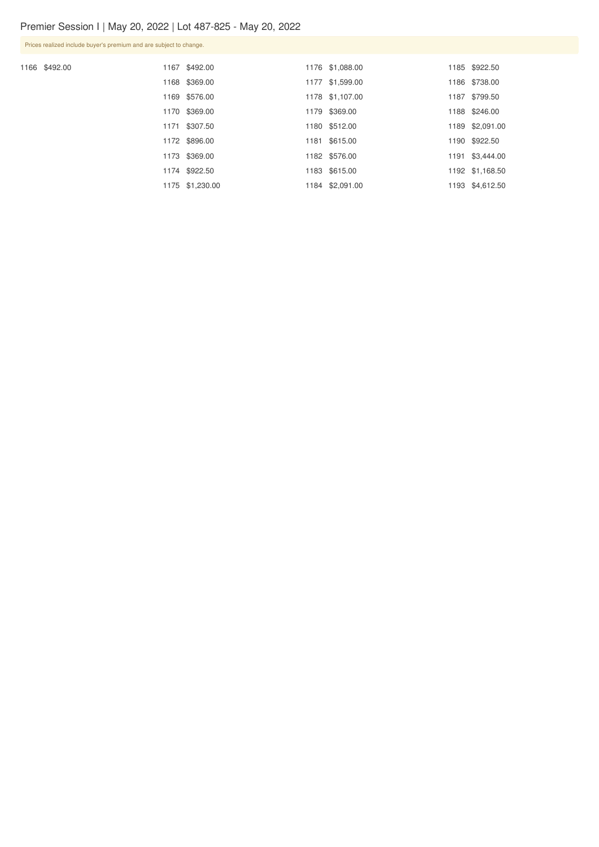Prices realized include buyer's premium and are subject to change.

1166 \$492.00

|  | 1167 \$492.00   | 1176 \$1,088.00 | 1185 \$922.50   |
|--|-----------------|-----------------|-----------------|
|  | 1168 \$369.00   | 1177 \$1,599.00 | 1186 \$738.00   |
|  | 1169 \$576.00   | 1178 \$1,107.00 | 1187 \$799.50   |
|  | 1170 \$369.00   | 1179 \$369.00   | 1188 \$246.00   |
|  | 1171 \$307.50   | 1180 \$512.00   | 1189 \$2,091.00 |
|  | 1172 \$896.00   | 1181 \$615.00   | 1190 \$922.50   |
|  | 1173 \$369.00   | 1182 \$576.00   | 1191 \$3,444.00 |
|  | 1174 \$922.50   | 1183 \$615.00   | 1192 \$1,168.50 |
|  | 1175 \$1,230.00 | 1184 \$2,091.00 | 1193 \$4,612.50 |